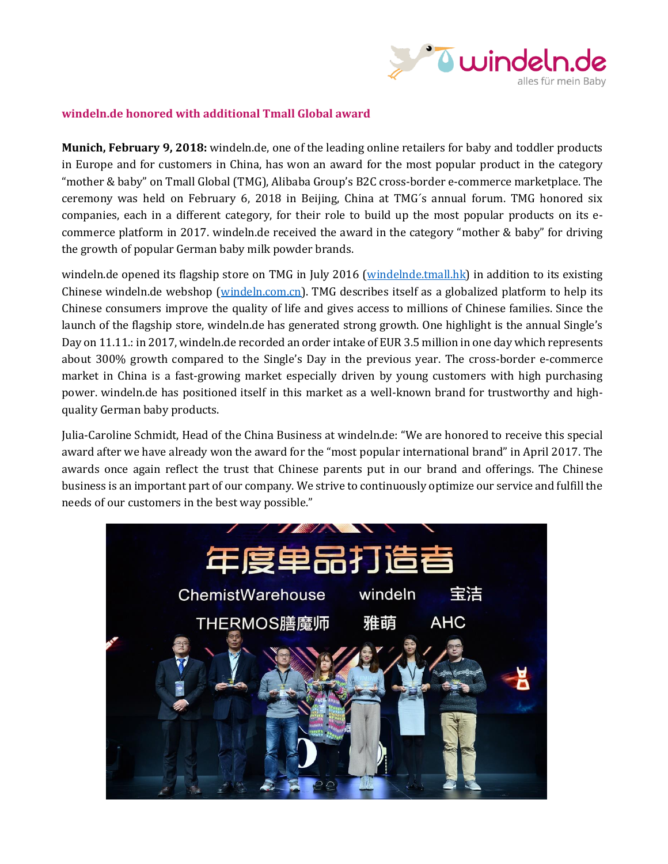

## **windeln.de honored with additional Tmall Global award**

**Munich, February 9, 2018:** windeln.de, one of the leading online retailers for baby and toddler products in Europe and for customers in China, has won an award for the most popular product in the category "mother & baby" on Tmall Global (TMG), Alibaba Group's B2C cross-border e-commerce marketplace. The ceremony was held on February 6, 2018 in Beijing, China at TMG´s annual forum. TMG honored six companies, each in a different category, for their role to build up the most popular products on its ecommerce platform in 2017. windeln.de received the award in the category "mother & baby" for driving the growth of popular German baby milk powder brands.

windeln.de opened its flagship store on TMG in July 2016 [\(windelnde.tmall.hk\)](http://www.windelnde.tmall.hk/) in addition to its existing Chinese windeln.de webshop [\(windeln.com.cn\)](http://www.windeln.com.cn/). TMG describes itself as a globalized platform to help its Chinese consumers improve the quality of life and gives access to millions of Chinese families. Since the launch of the flagship store, windeln.de has generated strong growth. One highlight is the annual Single's Day on 11.11.: in 2017, windeln.de recorded an order intake of EUR 3.5 million in one day which represents about 300% growth compared to the Single's Day in the previous year. The cross-border e-commerce market in China is a fast-growing market especially driven by young customers with high purchasing power. windeln.de has positioned itself in this market as a well-known brand for trustworthy and highquality German baby products.

Julia-Caroline Schmidt, Head of the China Business at windeln.de: "We are honored to receive this special award after we have already won the award for the "most popular international brand" in April 2017. The awards once again reflect the trust that Chinese parents put in our brand and offerings. The Chinese business is an important part of our company. We strive to continuously optimize our service and fulfill the needs of our customers in the best way possible."